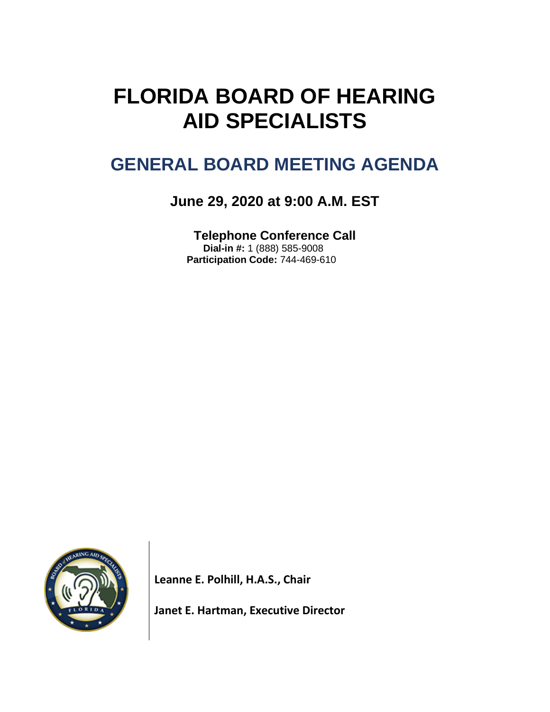# **FLORIDA BOARD OF HEARING AID SPECIALISTS**

# **GENERAL BOARD MEETING AGENDA**

# **June 29, 2020 at 9:00 A.M. EST**

**Telephone Conference Call Dial-in #:** 1 (888) 585-9008  **Participation Code:** 744-469-610



**Leanne E. Polhill, H.A.S., Chair**

**Janet E. Hartman, Executive Director**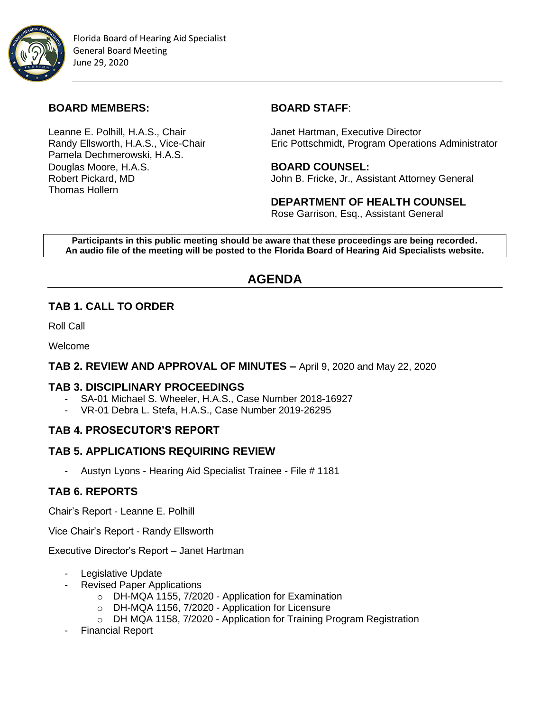

#### **BOARD MEMBERS: BOARD STAFF**:

Leanne E. Polhill, H.A.S., Chair **Janet Hartman, Executive Director** Pamela Dechmerowski, H.A.S. Douglas Moore, H.A.S. **BOARD COUNSEL:** Thomas Hollern

Randy Ellsworth, H.A.S., Vice-Chair **Eric Pottschmidt, Program Operations Administrator** 

Robert Pickard, MD John B. Fricke, Jr., Assistant Attorney General

**DEPARTMENT OF HEALTH COUNSEL** Rose Garrison, Esq., Assistant General

**Participants in this public meeting should be aware that these proceedings are being recorded. An audio file of the meeting will be posted to the Florida Board of Hearing Aid Specialists website.**

# **AGENDA**

### **TAB 1. CALL TO ORDER**

Roll Call

Welcome

#### **TAB 2. REVIEW AND APPROVAL OF MINUTES –** April 9, 2020 and May 22, 2020

#### **TAB 3. DISCIPLINARY PROCEEDINGS**

- SA-01 Michael S. Wheeler, H.A.S., Case Number 2018-16927
- VR-01 Debra L. Stefa, H.A.S., Case Number 2019-26295

### **TAB 4. PROSECUTOR'S REPORT**

#### **TAB 5. APPLICATIONS REQUIRING REVIEW**

- Austyn Lyons - Hearing Aid Specialist Trainee - File # 1181

### **TAB 6. REPORTS**

Chair's Report - Leanne E. Polhill

Vice Chair's Report - Randy Ellsworth

Executive Director's Report – Janet Hartman

- Legislative Update
- Revised Paper Applications
	- o DH-MQA 1155, 7/2020 Application for Examination
	- o DH-MQA 1156, 7/2020 Application for Licensure
	- o DH MQA 1158, 7/2020 Application for Training Program Registration
- Financial Report